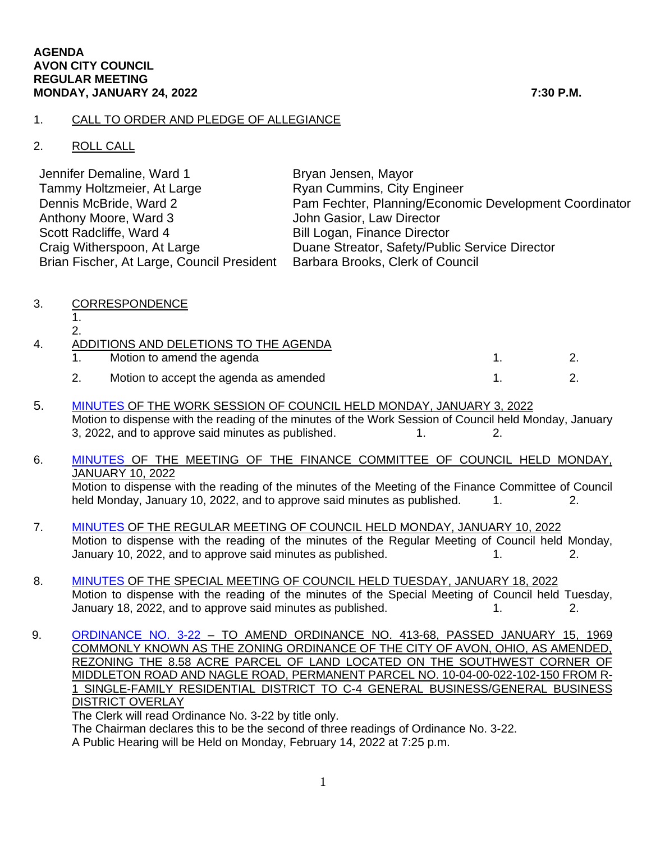## 1. CALL TO ORDER AND PLEDGE OF ALLEGIANCE

## 2. ROLL CALL

| Jennifer Demaline, Ward 1                  | Bryan Jensen, Mayor                                    |
|--------------------------------------------|--------------------------------------------------------|
| Tammy Holtzmeier, At Large                 | <b>Ryan Cummins, City Engineer</b>                     |
| Dennis McBride, Ward 2                     | Pam Fechter, Planning/Economic Development Coordinator |
| Anthony Moore, Ward 3                      | John Gasior, Law Director                              |
| Scott Radcliffe, Ward 4                    | <b>Bill Logan, Finance Director</b>                    |
| Craig Witherspoon, At Large                | Duane Streator, Safety/Public Service Director         |
| Brian Fischer, At Large, Council President | Barbara Brooks, Clerk of Council                       |

- 3. CORRESPONDENCE
	- 1. 2.

| ADDITIONS AND DELETIONS TO THE AGENDA |                                        |  |
|---------------------------------------|----------------------------------------|--|
|                                       | Motion to amend the agenda             |  |
|                                       | Motion to accept the agenda as amended |  |

- 5. [MINUTES](https://www.cityofavon.com/AgendaCenter/ViewFile/Minutes/_01032022-1044) OF THE WORK SESSION OF COUNCIL HELD MONDAY, JANUARY 3, 2022 Motion to dispense with the reading of the minutes of the Work Session of Council held Monday, January 3, 2022, and to approve said minutes as published.  $\qquad \qquad 1.$  2.
- 6. [MINUTES](https://www.cityofavon.com/AgendaCenter/ViewFile/Minutes/_01102022-1047) OF THE MEETING OF THE FINANCE COMMITTEE OF COUNCIL HELD MONDAY, JANUARY 10, 2022 Motion to dispense with the reading of the minutes of the Meeting of the Finance Committee of Council held Monday, January 10, 2022, and to approve said minutes as published. 1. 2.
- 7. [MINUTES](https://www.cityofavon.com/AgendaCenter/ViewFile/Minutes/_01102022-1052) OF THE REGULAR MEETING OF COUNCIL HELD MONDAY, JANUARY 10, 2022 Motion to dispense with the reading of the minutes of the Regular Meeting of Council held Monday, January 10, 2022, and to approve said minutes as published. 1. 2.
- 8. [MINUTES](https://www.cityofavon.com/AgendaCenter/ViewFile/Minutes/_01182022-1054) OF THE SPECIAL MEETING OF COUNCIL HELD TUESDAY, JANUARY 18, 2022 Motion to dispense with the reading of the minutes of the Special Meeting of Council held Tuesday, January 18, 2022, and to approve said minutes as published. 1. 1. 2.
- 9. [ORDINANCE NO. 3-22](https://www.cityofavon.com/DocumentCenter/View/7510/Ordinance-No-3-22-jag-Rezoning---LIG-Land-LLC) TO AMEND ORDINANCE NO. 413-68, PASSED JANUARY 15, 1969 COMMONLY KNOWN AS THE ZONING ORDINANCE OF THE CITY OF AVON, OHIO, AS AMENDED, REZONING THE 8.58 ACRE PARCEL OF LAND LOCATED ON THE SOUTHWEST CORNER OF MIDDLETON ROAD AND NAGLE ROAD, PERMANENT PARCEL NO. 10-04-00-022-102-150 FROM R-1 SINGLE-FAMILY RESIDENTIAL DISTRICT TO C-4 GENERAL BUSINESS/GENERAL BUSINESS DISTRICT OVERLAY

The Clerk will read Ordinance No. 3-22 by title only.

The Chairman declares this to be the second of three readings of Ordinance No. 3-22.

A Public Hearing will be Held on Monday, February 14, 2022 at 7:25 p.m.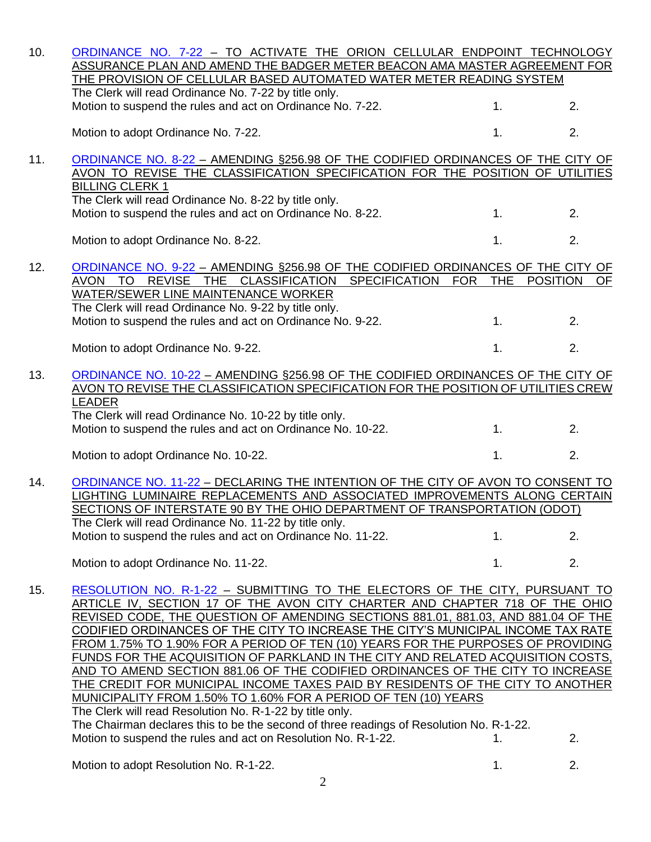| 10. | ORDINANCE NO. 7-22 - TO ACTIVATE THE ORION CELLULAR ENDPOINT TECHNOLOGY<br>ASSURANCE PLAN AND AMEND THE BADGER METER BEACON AMA MASTER AGREEMENT FOR |                          |                       |
|-----|------------------------------------------------------------------------------------------------------------------------------------------------------|--------------------------|-----------------------|
|     | THE PROVISION OF CELLULAR BASED AUTOMATED WATER METER READING SYSTEM                                                                                 |                          |                       |
|     | The Clerk will read Ordinance No. 7-22 by title only.                                                                                                |                          |                       |
|     | Motion to suspend the rules and act on Ordinance No. 7-22.                                                                                           | 1.                       | 2.                    |
|     | Motion to adopt Ordinance No. 7-22.                                                                                                                  | 1.                       | 2.                    |
| 11. | ORDINANCE NO. 8-22 - AMENDING §256.98 OF THE CODIFIED ORDINANCES OF THE CITY OF                                                                      |                          |                       |
|     | AVON TO REVISE THE CLASSIFICATION SPECIFICATION FOR THE POSITION OF UTILITIES                                                                        |                          |                       |
|     | <b>BILLING CLERK 1</b>                                                                                                                               |                          |                       |
|     | The Clerk will read Ordinance No. 8-22 by title only.<br>Motion to suspend the rules and act on Ordinance No. 8-22.                                  | 1.                       | 2.                    |
|     |                                                                                                                                                      |                          |                       |
|     | Motion to adopt Ordinance No. 8-22.                                                                                                                  | 1.                       | 2.                    |
| 12. | ORDINANCE NO. 9-22 - AMENDING §256.98 OF THE CODIFIED ORDINANCES OF THE CITY OF                                                                      |                          |                       |
|     | AVON TO<br>REVISE THE CLASSIFICATION SPECIFICATION                                                                                                   | <b>THE</b><br><b>FOR</b> | <b>POSITION</b><br>OF |
|     | WATER/SEWER LINE MAINTENANCE WORKER                                                                                                                  |                          |                       |
|     | The Clerk will read Ordinance No. 9-22 by title only.                                                                                                |                          |                       |
|     | Motion to suspend the rules and act on Ordinance No. 9-22.                                                                                           | 1.                       | 2.                    |
|     |                                                                                                                                                      |                          |                       |
|     | Motion to adopt Ordinance No. 9-22.                                                                                                                  | 1.                       | 2.                    |
| 13. | ORDINANCE NO. 10-22 - AMENDING §256.98 OF THE CODIFIED ORDINANCES OF THE CITY OF                                                                     |                          |                       |
|     | AVON TO REVISE THE CLASSIFICATION SPECIFICATION FOR THE POSITION OF UTILITIES CREW                                                                   |                          |                       |
|     | <b>LEADER</b>                                                                                                                                        |                          |                       |
|     | The Clerk will read Ordinance No. 10-22 by title only.                                                                                               |                          |                       |
|     | Motion to suspend the rules and act on Ordinance No. 10-22.                                                                                          | 1.                       | 2.                    |
|     | Motion to adopt Ordinance No. 10-22.                                                                                                                 | 1.                       | 2.                    |
|     |                                                                                                                                                      |                          |                       |
| 14. | ORDINANCE NO. 11-22 - DECLARING THE INTENTION OF THE CITY OF AVON TO CONSENT TO                                                                      |                          |                       |
|     | LIGHTING LUMINAIRE REPLACEMENTS AND ASSOCIATED IMPROVEMENTS ALONG CERTAIN                                                                            |                          |                       |
|     | SECTIONS OF INTERSTATE 90 BY THE OHIO DEPARTMENT OF TRANSPORTATION (ODOT)                                                                            |                          |                       |
|     | The Clerk will read Ordinance No. 11-22 by title only.                                                                                               |                          |                       |
|     | Motion to suspend the rules and act on Ordinance No. 11-22.                                                                                          | 1.                       | 2.                    |
|     | Motion to adopt Ordinance No. 11-22.                                                                                                                 | 1.                       | 2.                    |
| 15. | RESOLUTION NO. R-1-22 - SUBMITTING TO THE ELECTORS OF THE CITY, PURSUANT TO                                                                          |                          |                       |
|     | ARTICLE IV, SECTION 17 OF THE AVON CITY CHARTER AND CHAPTER 718 OF THE OHIO                                                                          |                          |                       |
|     | REVISED CODE, THE QUESTION OF AMENDING SECTIONS 881.01, 881.03, AND 881.04 OF THE                                                                    |                          |                       |
|     | CODIFIED ORDINANCES OF THE CITY TO INCREASE THE CITY'S MUNICIPAL INCOME TAX RATE                                                                     |                          |                       |
|     | FROM 1.75% TO 1.90% FOR A PERIOD OF TEN (10) YEARS FOR THE PURPOSES OF PROVIDING                                                                     |                          |                       |
|     | <u>FUNDS FOR THE ACQUISITION OF PARKLAND IN THE CITY AND RELATED ACQUISITION COSTS, </u>                                                             |                          |                       |
|     | AND TO AMEND SECTION 881.06 OF THE CODIFIED ORDINANCES OF THE CITY TO INCREASE                                                                       |                          |                       |
|     | <u>THE CREDIT FOR MUNICIPAL INCOME TAXES PAID BY RESIDENTS OF THE CITY TO ANOTHER </u>                                                               |                          |                       |
|     | MUNICIPALITY FROM 1.50% TO 1.60% FOR A PERIOD OF TEN (10) YEARS<br>The Clerk will read Resolution No. R-1-22 by title only.                          |                          |                       |
|     | The Chairman declares this to be the second of three readings of Resolution No. R-1-22.                                                              |                          |                       |
|     | Motion to suspend the rules and act on Resolution No. R-1-22.                                                                                        | 1.                       | 2.                    |

Motion to adopt Resolution No. R-1-22. 1. 2.